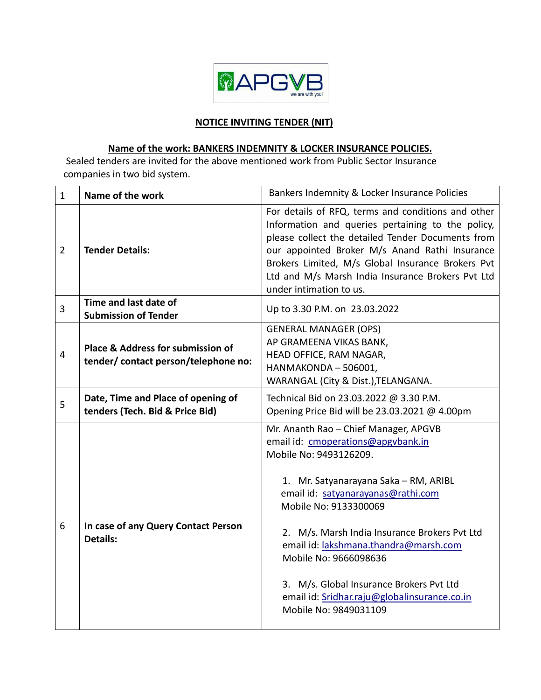

### **NOTICE INVITING TENDER (NIT)**

# **Name of the work: BANKERS INDEMNITY & LOCKER INSURANCE POLICIES.**

Sealed tenders are invited for the above mentioned work from Public Sector Insurance companies in two bid system.

| $\mathbf{1}$   | Name of the work                                                         | Bankers Indemnity & Locker Insurance Policies                                                                                                                                                                                                                                                                                                                                                                                                         |
|----------------|--------------------------------------------------------------------------|-------------------------------------------------------------------------------------------------------------------------------------------------------------------------------------------------------------------------------------------------------------------------------------------------------------------------------------------------------------------------------------------------------------------------------------------------------|
| $\overline{2}$ | <b>Tender Details:</b>                                                   | For details of RFQ, terms and conditions and other<br>Information and queries pertaining to the policy,<br>please collect the detailed Tender Documents from<br>our appointed Broker M/s Anand Rathi Insurance<br>Brokers Limited, M/s Global Insurance Brokers Pvt<br>Ltd and M/s Marsh India Insurance Brokers Pvt Ltd<br>under intimation to us.                                                                                                   |
| $\overline{3}$ | Time and last date of<br><b>Submission of Tender</b>                     | Up to 3.30 P.M. on 23.03.2022                                                                                                                                                                                                                                                                                                                                                                                                                         |
| $\overline{4}$ | Place & Address for submission of<br>tender/contact person/telephone no: | <b>GENERAL MANAGER (OPS)</b><br>AP GRAMEENA VIKAS BANK,<br>HEAD OFFICE, RAM NAGAR,<br>HANMAKONDA - 506001,<br>WARANGAL (City & Dist.), TELANGANA.                                                                                                                                                                                                                                                                                                     |
| 5              | Date, Time and Place of opening of<br>tenders (Tech. Bid & Price Bid)    | Technical Bid on 23.03.2022 @ 3.30 P.M.<br>Opening Price Bid will be 23.03.2021 @ 4.00pm                                                                                                                                                                                                                                                                                                                                                              |
| 6              | In case of any Query Contact Person<br><b>Details:</b>                   | Mr. Ananth Rao - Chief Manager, APGVB<br>email id: cmoperations@apgvbank.in<br>Mobile No: 9493126209.<br>1. Mr. Satyanarayana Saka - RM, ARIBL<br>email id: satyanarayanas@rathi.com<br>Mobile No: 9133300069<br>2. M/s. Marsh India Insurance Brokers Pvt Ltd<br>email id: lakshmana.thandra@marsh.com<br>Mobile No: 9666098636<br>3. M/s. Global Insurance Brokers Pvt Ltd<br>email id: Sridhar.raju@globalinsurance.co.in<br>Mobile No: 9849031109 |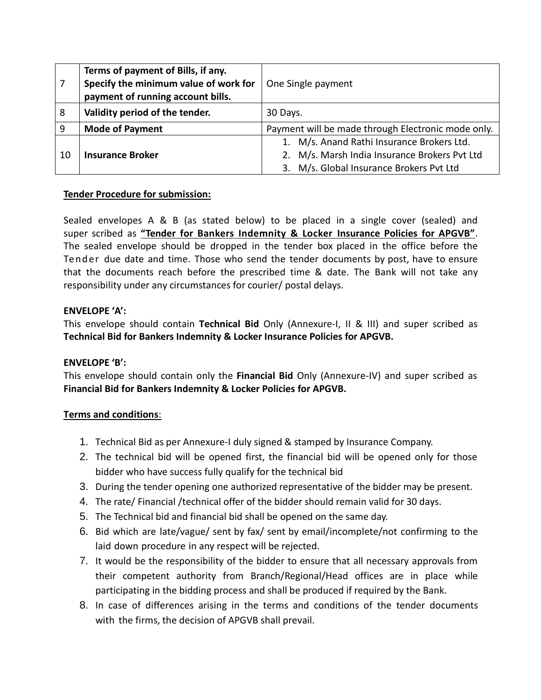|    | Terms of payment of Bills, if any.<br>Specify the minimum value of work for<br>payment of running account bills. | One Single payment                                                                                                                      |
|----|------------------------------------------------------------------------------------------------------------------|-----------------------------------------------------------------------------------------------------------------------------------------|
| 8  | Validity period of the tender.                                                                                   | 30 Days.                                                                                                                                |
| 9  | <b>Mode of Payment</b>                                                                                           | Payment will be made through Electronic mode only.                                                                                      |
| 10 | <b>Insurance Broker</b>                                                                                          | 1. M/s. Anand Rathi Insurance Brokers Ltd.<br>2. M/s. Marsh India Insurance Brokers Pvt Ltd<br>3. M/s. Global Insurance Brokers Pvt Ltd |

#### **Tender Procedure for submission:**

Sealed envelopes A & B (as stated below) to be placed in a single cover (sealed) and super scribed as **"Tender for Bankers Indemnity & Locker Insurance Policies for APGVB"**. The sealed envelope should be dropped in the tender box placed in the office before the Tend er due date and time. Those who send the tender documents by post, have to ensure that the documents reach before the prescribed time & date. The Bank will not take any responsibility under any circumstances for courier/ postal delays.

#### **ENVELOPE 'A':**

This envelope should contain **Technical Bid** Only (Annexure-I, II & III) and super scribed as **Technical Bid for Bankers Indemnity & Locker Insurance Policies for APGVB.**

## **ENVELOPE 'B':**

This envelope should contain only the **Financial Bid** Only (Annexure-IV) and super scribed as **Financial Bid for Bankers Indemnity & Locker Policies for APGVB.**

#### **Terms and conditions**:

- 1. Technical Bid as per Annexure-I duly signed & stamped by Insurance Company.
- 2. The technical bid will be opened first, the financial bid will be opened only for those bidder who have success fully qualify for the technical bid
- 3. During the tender opening one authorized representative of the bidder may be present.
- 4. The rate/ Financial /technical offer of the bidder should remain valid for 30 days.
- 5. The Technical bid and financial bid shall be opened on the same day.
- 6. Bid which are late/vague/ sent by fax/ sent by email/incomplete/not confirming to the laid down procedure in any respect will be rejected.
- 7. It would be the responsibility of the bidder to ensure that all necessary approvals from their competent authority from Branch/Regional/Head offices are in place while participating in the bidding process and shall be produced if required by the Bank.
- 8. In case of differences arising in the terms and conditions of the tender documents with the firms, the decision of APGVB shall prevail.